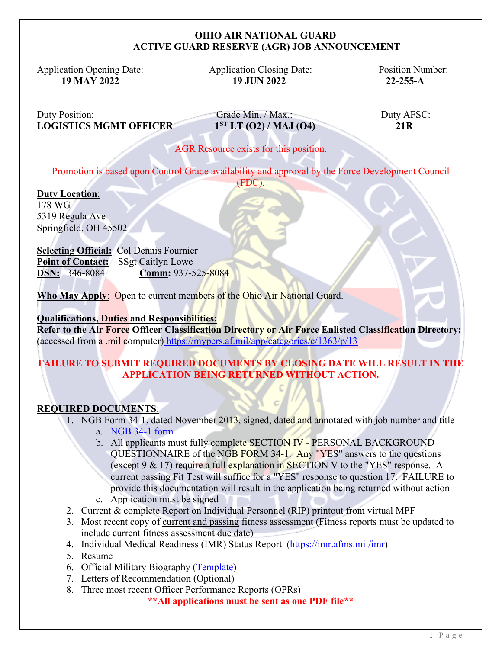### **OHIO AIR NATIONAL GUARD ACTIVE GUARD RESERVE (AGR) JOB ANNOUNCEMENT**

Application Opening Date: Application Closing Date: Position Number:  **19 MAY 2022 19 JUN 2022 22-255-A**

Duty Position: Grade Min. / Max.: Duty AFSC: **LOGISTICS MGMT OFFICER 1ST LT (O2) / MAJ (O4) 21R**

## **AGR Resource exists for this position.**

Promotion is based upon Control Grade availability and approval by the Force Development Council (FDC).

### **Duty Location**:

178 WG 5319 Regula Ave Springfield, OH 45502

### **Selecting Official:** Col Dennis Fournier Point of Contact: SSgt Caitlyn Lowe **DSN:** 346-8084 **Comm:** 937-525-8084

**Who May Apply**: Open to current members of the Ohio Air National Guard.

### **Qualifications, Duties and Responsibilities:**

**Refer to the Air Force Officer Classification Directory or Air Force Enlisted Classification Directory:** (accessed from a .mil computer) <https://mypers.af.mil/app/categories/c/1363/p/13>

# **FAILURE TO SUBMIT REQUIRED DOCUMENTS BY CLOSING DATE WILL RESULT IN THE APPLICATION BEING RETURNED WITHOUT ACTION.**

## **REQUIRED DOCUMENTS**:

- 1. NGB Form 34-1, dated November 2013, signed, dated and annotated with job number and title a. NGB 34-1 form
	- b. All applicants must fully complete SECTION IV PERSONAL BACKGROUND QUESTIONNAIRE of the NGB FORM 34-1. Any "YES" answers to the questions (except 9 & 17) require a full explanation in SECTION V to the "YES" response. A current passing Fit Test will suffice for a "YES" response to question 17. FAILURE to provide this documentation will result in the application being returned without action c. Application must be signed
- 2. Current & complete Report on Individual Personnel (RIP) printout from virtual MPF
- 3. Most recent copy of current and passing fitness assessment (Fitness reports must be updated to include current fitness assessment due date)
- 4. Individual Medical Readiness (IMR) Status Report [\(https://imr.afms.mil/imr\)](https://imr.afms.mil/imr)
- 5. Resume
- 6. Official Military Biography (Template)
- 7. Letters of Recommendation (Optional)
- 8. Three most recent Officer Performance Reports (OPRs)

#### **\*\*All applications must be sent as one PDF file\*\***